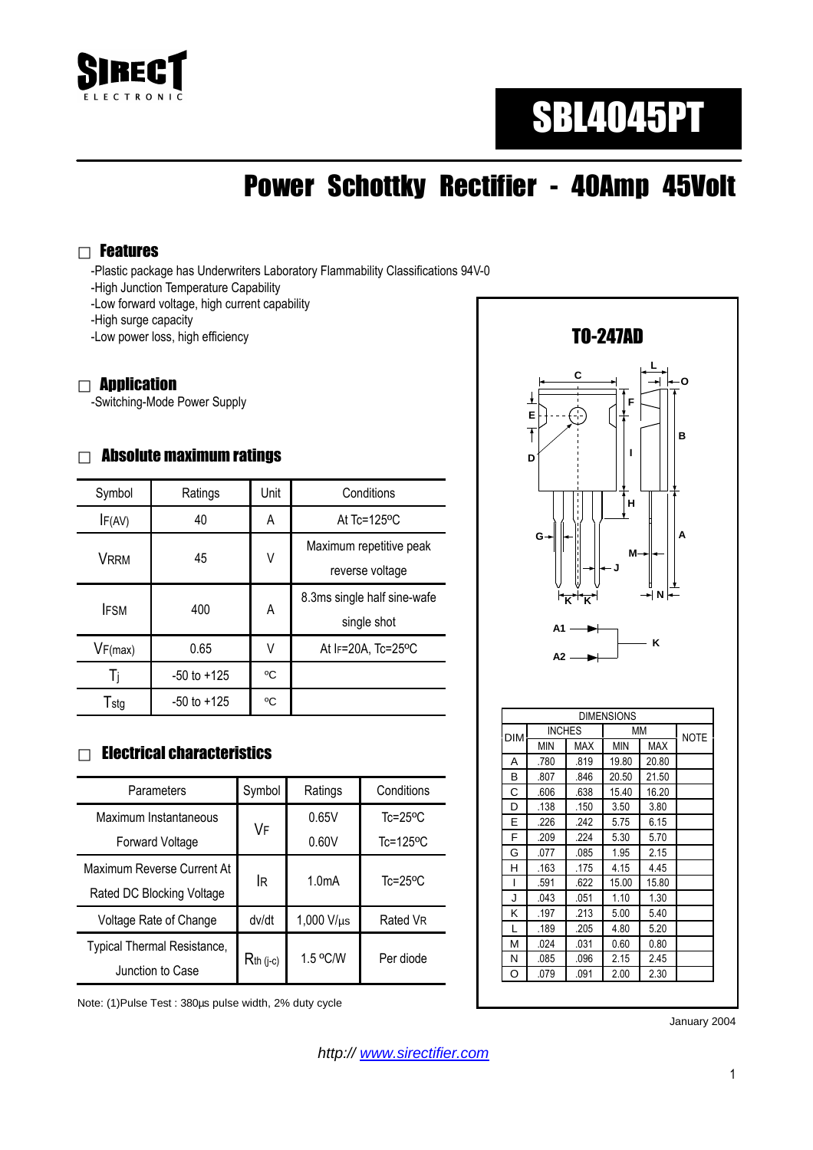

# SBL4045PT

## Power Schottky Rectifier - 40Amp 45Volt

#### Features

-Plastic package has Underwriters Laboratory Flammability Classifications 94V-0

- -High Junction Temperature Capability
- -Low forward voltage, high current capability

-High surge capacity

-Low power loss, high efficiency

#### **Application**

-Switching-Mode Power Supply

#### Absolute maximum ratings

| Symbol      | Ratings         | Unit | Conditions                                 |  |
|-------------|-----------------|------|--------------------------------------------|--|
| IF(AV)      | 40              | A    | At $Tc = 125$ <sup>o</sup> C               |  |
| <b>VRRM</b> | 45              | ٧    | Maximum repetitive peak<br>reverse voltage |  |
| <b>IFSM</b> | 400             | A    | 8.3ms single half sine-wafe<br>single shot |  |
| VF(max)     | 0.65            | V    | At IF=20A, Tc=25°C                         |  |
| Ti          | $-50$ to $+125$ | °C   |                                            |  |
| Tstg        | $-50$ to $+125$ | °C   |                                            |  |

#### Electrical characteristics

| Parameters                  | Symbol         | Ratings            | Conditions                |
|-----------------------------|----------------|--------------------|---------------------------|
| Maximum Instantaneous       |                | 0.65V              | $Tc = 25$ °C              |
| Forward Voltage             | VF             | 0.60V              | $Tc = 125$ <sup>o</sup> C |
| Maximum Reverse Current At  | lR.            | 1.0 <sub>m</sub> A |                           |
| Rated DC Blocking Voltage   |                |                    | $Tc = 25$ <sup>o</sup> C  |
| Voltage Rate of Change      | dv/dt          | $1,000$ V/ $\mu$ s | Rated VR                  |
| Typical Thermal Resistance, | $R_{th}$ (j-c) | 1.5 °C/W           | Per diode                 |
| Junction to Case            |                |                    |                           |

Note: (1)Pulse Test : 380µs pulse width, 2% duty cycle



|     |               |      | <b>DIMENSIONS</b> |             |  |
|-----|---------------|------|-------------------|-------------|--|
| DIM | <b>INCHES</b> |      | МM                | <b>NOTE</b> |  |
|     | <b>MIN</b>    | MAX  | <b>MIN</b>        | <b>MAX</b>  |  |
| A   | .780          | .819 | 19.80             | 20.80       |  |
| в   | .807          | .846 | 20.50             | 21.50       |  |
| С   | .606          | .638 | 15.40             | 16.20       |  |
| D   | .138          | .150 | 3.50              | 3.80        |  |
| E   | .226          | .242 | 5.75              | 6.15        |  |
| F   | .209          | .224 | 5.30              | 5.70        |  |
| G   | .077          | .085 | 1.95              | 2.15        |  |
| н   | .163          | .175 | 4.15              | 4.45        |  |
| ı   | .591          | .622 | 15.00             | 15.80       |  |
| J   | .043          | .051 | 1.10              | 1.30        |  |
| κ   | .197          | .213 | 5.00              | 5.40        |  |
| L   | .189          | .205 | 4.80              | 5.20        |  |
| М   | .024          | .031 | 0.60              | 0.80        |  |
| N   | .085          | .096 | 2.15              | 2.45        |  |
| O   | .079          | .091 | 2.00              | 2.30        |  |

January 2004